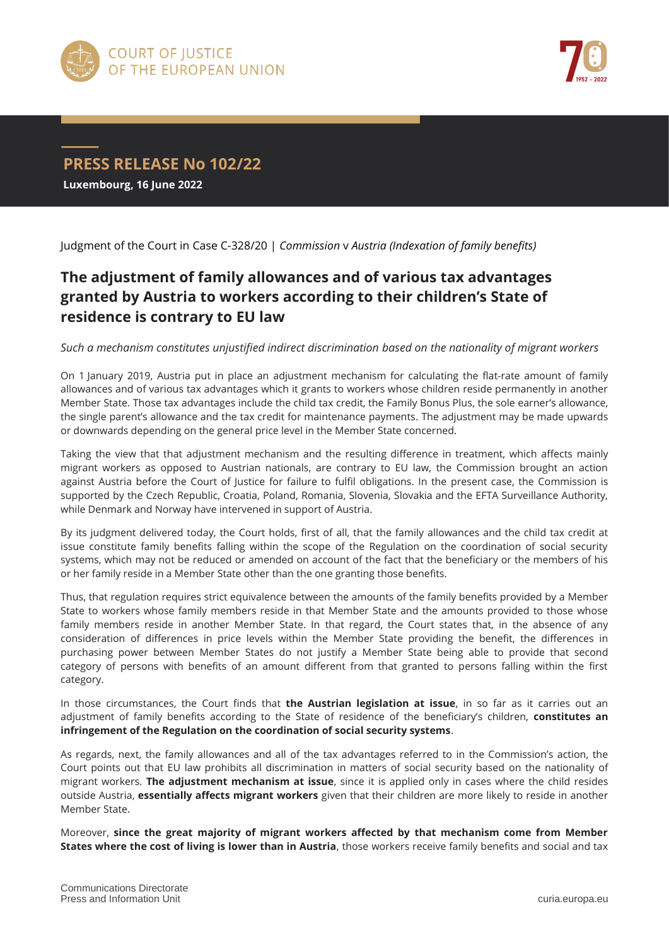



**PRESS RELEASE No 102/22 Luxembourg, 16 June 2022**

Judgment of the Court in Case C-328/20 | *Commission* v *Austria (Indexation of family benefits)*

## **The adjustment of family allowances and of various tax advantages granted by Austria to workers according to their children's State of residence is contrary to EU law**

*Such a mechanism constitutes unjustified indirect discrimination based on the nationality of migrant workers*

On 1 January 2019, Austria put in place an adjustment mechanism for calculating the flat-rate amount of family allowances and of various tax advantages which it grants to workers whose children reside permanently in another Member State. Those tax advantages include the child tax credit, the Family Bonus Plus, the sole earner's allowance, the single parent's allowance and the tax credit for maintenance payments. The adjustment may be made upwards or downwards depending on the general price level in the Member State concerned.

Taking the view that that adjustment mechanism and the resulting difference in treatment, which affects mainly migrant workers as opposed to Austrian nationals, are contrary to EU law, the Commission brought an action against Austria before the Court of Justice for failure to fulfil obligations. In the present case, the Commission is supported by the Czech Republic, Croatia, Poland, Romania, Slovenia, Slovakia and the EFTA Surveillance Authority, while Denmark and Norway have intervened in support of Austria.

By its judgment delivered today, the Court holds, first of all, that the family allowances and the child tax credit at issue constitute family benefits falling within the scope of the Regulation on the coordination of social security systems, which may not be reduced or amended on account of the fact that the beneficiary or the members of his or her family reside in a Member State other than the one granting those benefits.

Thus, that regulation requires strict equivalence between the amounts of the family benefits provided by a Member State to workers whose family members reside in that Member State and the amounts provided to those whose family members reside in another Member State. In that regard, the Court states that, in the absence of any consideration of differences in price levels within the Member State providing the benefit, the differences in purchasing power between Member States do not justify a Member State being able to provide that second category of persons with benefits of an amount different from that granted to persons falling within the first category.

In those circumstances, the Court finds that **the Austrian legislation at issue**, in so far as it carries out an adjustment of family benefits according to the State of residence of the beneficiary's children, **constitutes an infringement of the Regulation on the coordination of social security systems**.

As regards, next, the family allowances and all of the tax advantages referred to in the Commission's action, the Court points out that EU law prohibits all discrimination in matters of social security based on the nationality of migrant workers. **The adjustment mechanism at issue**, since it is applied only in cases where the child resides outside Austria, **essentially affects migrant workers** given that their children are more likely to reside in another Member State.

Moreover, **since the great majority of migrant workers affected by that mechanism come from Member States where the cost of living is lower than in Austria**, those workers receive family benefits and social and tax